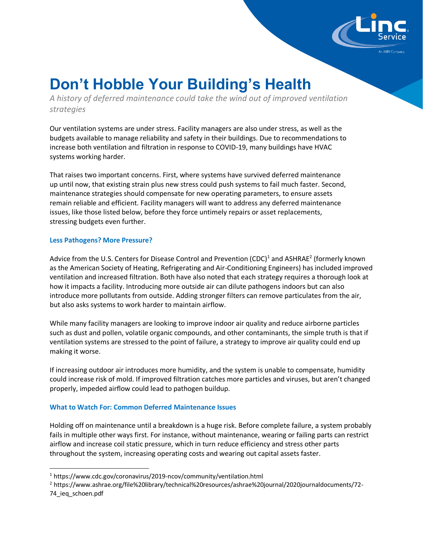

# **Don't Hobble Your Building's Health**

*A history of deferred maintenance could take the wind out of improved ventilation strategies*

Our ventilation systems are under stress. Facility managers are also under stress, as well as the budgets available to manage reliability and safety in their buildings. Due to recommendations to increase both ventilation and filtration in response to COVID-19, many buildings have HVAC systems working harder.

That raises two important concerns. First, where systems have survived deferred maintenance up until now, that existing strain plus new stress could push systems to fail much faster. Second, maintenance strategies should compensate for new operating parameters, to ensure assets remain reliable and efficient. Facility managers will want to address any deferred maintenance issues, like those listed below, before they force untimely repairs or asset replacements, stressing budgets even further.

# **Less Pathogens? More Pressure?**

Advice from the U.S. Centers for Disease Control and Prevention (CDC)<sup>1</sup> and ASHRAE<sup>2</sup> (formerly known as the American Society of Heating, Refrigerating and Air-Conditioning Engineers) has included improved ventilation and increased filtration. Both have also noted that each strategy requires a thorough look at how it impacts a facility. Introducing more outside air can dilute pathogens indoors but can also introduce more pollutants from outside. Adding stronger filters can remove particulates from the air, but also asks systems to work harder to maintain airflow.

While many facility managers are looking to improve indoor air quality and reduce airborne particles such as dust and pollen, volatile organic compounds, and other contaminants, the simple truth is that if ventilation systems are stressed to the point of failure, a strategy to improve air quality could end up making it worse.

If increasing outdoor air introduces more humidity, and the system is unable to compensate, humidity could increase risk of mold. If improved filtration catches more particles and viruses, but aren't changed properly, impeded airflow could lead to pathogen buildup.

# **What to Watch For: Common Deferred Maintenance Issues**

Holding off on maintenance until a breakdown is a huge risk. Before complete failure, a system probably fails in multiple other ways first. For instance, without maintenance, wearing or failing parts can restrict airflow and increase coil static pressure, which in turn reduce efficiency and stress other parts throughout the system, increasing operating costs and wearing out capital assets faster.

<sup>1</sup> https://www.cdc.gov/coronavirus/2019-ncov/community/ventilation.html

<sup>2</sup> https://www.ashrae.org/file%20library/technical%20resources/ashrae%20journal/2020journaldocuments/72- 74\_ieq\_schoen.pdf